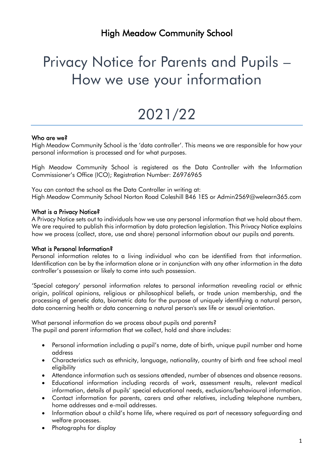## Privacy Notice for Parents and Pupils – How we use your information

# 2021/22

## Who are we?

High Meadow Community School is the 'data controller'. This means we are responsible for how your personal information is processed and for what purposes.

High Meadow Community School is registered as the Data Controller with the Information Commissioner's Office (ICO); Registration Number: Z6976965

You can contact the school as the Data Controller in writing at: High Meadow Community School Norton Road Coleshill B46 1ES or Admin2569@welearn365.com

## What is a Privacy Notice?

A Privacy Notice sets out to individuals how we use any personal information that we hold about them. We are required to publish this information by data protection legislation. This Privacy Notice explains how we process (collect, store, use and share) personal information about our pupils and parents.

#### What is Personal Information?

Personal information relates to a living individual who can be identified from that information. Identification can be by the information alone or in conjunction with any other information in the data controller's possession or likely to come into such possession.

'Special category' personal information relates to personal information revealing racial or ethnic origin, political opinions, religious or philosophical beliefs, or trade union membership, and the processing of genetic data, biometric data for the purpose of uniquely identifying a natural person, data concerning health or data concerning a natural person's sex life or sexual orientation.

What personal information do we process about pupils and parents? The pupil and parent information that we collect, hold and share includes:

- Personal information including a pupil's name, date of birth, unique pupil number and home address
- Characteristics such as ethnicity, language, nationality, country of birth and free school meal eligibility
- Attendance information such as sessions attended, number of absences and absence reasons.
- Educational information including records of work, assessment results, relevant medical information, details of pupils' special educational needs, exclusions/behavioural information.
- Contact information for parents, carers and other relatives, including telephone numbers, home addresses and e-mail addresses.
- Information about a child's home life, where required as part of necessary safeguarding and welfare processes.
- Photographs for display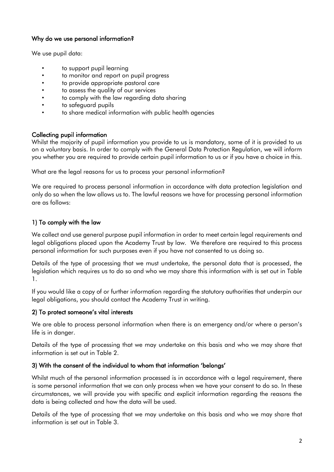## Why do we use personal information?

We use pupil data:

- to support pupil learning
- to monitor and report on pupil progress
- to provide appropriate pastoral care
- to assess the quality of our services
- to comply with the law regarding data sharing
- to safeguard pupils
- to share medical information with public health agencies

## Collecting pupil information

Whilst the majority of pupil information you provide to us is mandatory, some of it is provided to us on a voluntary basis. In order to comply with the General Data Protection Regulation, we will inform you whether you are required to provide certain pupil information to us or if you have a choice in this.

What are the legal reasons for us to process your personal information?

We are required to process personal information in accordance with data protection legislation and only do so when the law allows us to. The lawful reasons we have for processing personal information are as follows:

## 1) To comply with the law

We collect and use general purpose pupil information in order to meet certain legal requirements and legal obligations placed upon the Academy Trust by law. We therefore are required to this process personal information for such purposes even if you have not consented to us doing so.

Details of the type of processing that we must undertake, the personal data that is processed, the legislation which requires us to do so and who we may share this information with is set out in Table 1.

If you would like a copy of or further information regarding the statutory authorities that underpin our legal obligations, you should contact the Academy Trust in writing.

## 2) To protect someone's vital interests

We are able to process personal information when there is an emergency and/or where a person's life is in danger.

Details of the type of processing that we may undertake on this basis and who we may share that information is set out in Table 2.

## 3) With the consent of the individual to whom that information 'belongs'

Whilst much of the personal information processed is in accordance with a legal requirement, there is some personal information that we can only process when we have your consent to do so. In these circumstances, we will provide you with specific and explicit information regarding the reasons the data is being collected and how the data will be used.

Details of the type of processing that we may undertake on this basis and who we may share that information is set out in Table 3.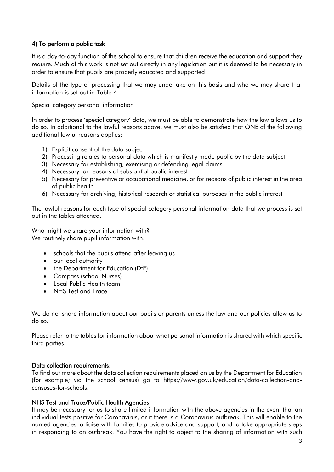## 4) To perform a public task

It is a day-to-day function of the school to ensure that children receive the education and support they require. Much of this work is not set out directly in any legislation but it is deemed to be necessary in order to ensure that pupils are properly educated and supported

Details of the type of processing that we may undertake on this basis and who we may share that information is set out in Table 4.

Special category personal information

In order to process 'special category' data, we must be able to demonstrate how the law allows us to do so. In additional to the lawful reasons above, we must also be satisfied that ONE of the following additional lawful reasons applies:

- 1) Explicit consent of the data subject
- 2) Processing relates to personal data which is manifestly made public by the data subject
- 3) Necessary for establishing, exercising or defending legal claims
- 4) Necessary for reasons of substantial public interest
- 5) Necessary for preventive or occupational medicine, or for reasons of public interest in the area of public health
- 6) Necessary for archiving, historical research or statistical purposes in the public interest

The lawful reasons for each type of special category personal information data that we process is set out in the tables attached.

Who might we share your information with? We routinely share pupil information with:

- schools that the pupils attend after leaving us
- our local authority
- the Department for Education (DfE)
- Compass (school Nurses)
- Local Public Health team
- NHS Test and Trace

We do not share information about our pupils or parents unless the law and our policies allow us to do so.

Please refer to the tables for information about what personal information is shared with which specific third parties.

#### Data collection requirements:

To find out more about the data collection requirements placed on us by the Department for Education (for example; via the school census) go to [https://www.gov.uk/education/data-collection-and](https://www.gov.uk/education/data-collection-and-censuses-for-schools)[censuses-for-schools.](https://www.gov.uk/education/data-collection-and-censuses-for-schools)

#### NHS Test and Trace/Public Health Agencies:

It may be necessary for us to share limited information with the above agencies in the event that an individual tests positive for Coronavirus, or it there is a Coronavirus outbreak. This will enable to the named agencies to liaise with families to provide advice and support, and to take appropriate steps in responding to an outbreak. You have the right to object to the sharing of information with such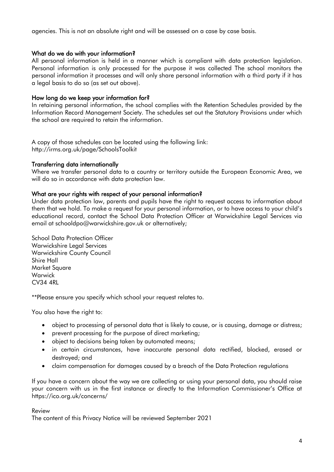agencies. This is not an absolute right and will be assessed on a case by case basis.

## What do we do with your information?

All personal information is held in a manner which is compliant with data protection legislation. Personal information is only processed for the purpose it was collected The school monitors the personal information it processes and will only share personal information with a third party if it has a legal basis to do so (as set out above).

## How long do we keep your information for?

In retaining personal information, the school complies with the Retention Schedules provided by the Information Record Management Society. The schedules set out the Statutory Provisions under which the school are required to retain the information.

A copy of those schedules can be located using the following link: <http://irms.org.uk/page/SchoolsToolkit>

## Transferring data internationally

Where we transfer personal data to a country or territory outside the European Economic Area, we will do so in accordance with data protection law.

#### What are your rights with respect of your personal information?

Under data protection law, parents and pupils have the right to request access to information about them that we hold. To make a request for your personal information, or to have access to your child's educational record, contact the School Data Protection Officer at Warwickshire Legal Services via email at [schooldpo@warwickshire.gov.uk](mailto:schooldpo@warwickshire.gov.uk) or alternatively;

School Data Protection Officer Warwickshire Legal Services Warwickshire County Council Shire Hall Market Square Warwick CV34 4RL

\*\*Please ensure you specify which school your request relates to.

You also have the right to:

- object to processing of personal data that is likely to cause, or is causing, damage or distress;
- prevent processing for the purpose of direct marketing;
- object to decisions being taken by automated means;
- in certain circumstances, have inaccurate personal data rectified, blocked, erased or destroyed; and
- claim compensation for damages caused by a breach of the Data Protection regulations

If you have a concern about the way we are collecting or using your personal data, you should raise your concern with us in the first instance or directly to the Information Commissioner's Office at <https://ico.org.uk/concerns/>

#### Review

The content of this Privacy Notice will be reviewed September 2021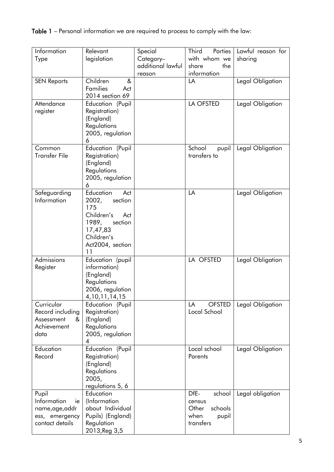| Information<br>Type                                                                | Relevant<br>legislation                                                                                                                  | Special<br>Category-        | <b>Third</b><br>Parties<br>with whom we                                    | Lawful reason for<br>sharing |
|------------------------------------------------------------------------------------|------------------------------------------------------------------------------------------------------------------------------------------|-----------------------------|----------------------------------------------------------------------------|------------------------------|
|                                                                                    |                                                                                                                                          | additional lawful<br>reason | the<br>share<br>information                                                |                              |
| <b>SEN Reports</b>                                                                 | Children<br>&<br>Families<br>Act<br>2014 section 69                                                                                      |                             | LA                                                                         | Legal Obligation             |
| Attendance<br>register                                                             | Education (Pupil<br>Registration)<br>(England)<br>Regulations<br>2005, regulation<br>6                                                   |                             | LA OFSTED                                                                  | Legal Obligation             |
| Common<br><b>Transfer File</b>                                                     | Education (Pupil<br>Registration)<br>(England)<br>Regulations<br>2005, regulation<br>6                                                   |                             | School<br>pupil<br>transfers to                                            | Legal Obligation             |
| Safeguarding<br>Information                                                        | Education<br>Act<br>2002,<br>section<br>175<br>Children's<br>Act<br>1989,<br>section<br>17,47,83<br>Children's<br>Act2004, section<br>11 |                             | LA                                                                         | Legal Obligation             |
| Admissions<br>Register                                                             | Education (pupil<br>information)<br>(England)<br>Regulations<br>2006, regulation<br>4, 10, 11, 14, 15                                    |                             | LA OFSTED                                                                  | Legal Obligation             |
| Curricular<br>Record including<br>Assessment<br>&<br>Achievement<br>data           | Education (Pupil<br>Registration)<br>(England)<br>Regulations<br>2005, regulation<br>4                                                   |                             | <b>OFSTED</b><br>LA<br>Local School                                        | Legal Obligation             |
| Education<br>Record                                                                | Education (Pupil<br>Registration)<br>(England)<br>Regulations<br>2005,<br>regulations 5, 6                                               |                             | Local school<br>Parents                                                    | Legal Obligation             |
| Pupil<br>Information<br>ie<br>name, age, addr<br>ess, emergency<br>contact details | Education<br>(Information<br>about Individual<br>Pupils) (England)<br>Regulation<br>2013, Reg 3, 5                                       |                             | DfE-<br>school<br>census<br>Other<br>schools<br>when<br>pupil<br>transfers | Legal obligation             |

Table 1 – Personal information we are required to process to comply with the law: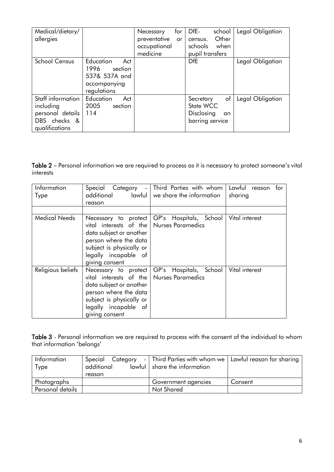| Medical/dietary/<br>allergies                                                        |                                                                                     | for<br>Necessary<br>preventative<br>or<br>occupational<br>medicine | DfE-<br>school<br>Other<br>census.<br>schools<br>when<br>pupil transfers | Legal Obligation |
|--------------------------------------------------------------------------------------|-------------------------------------------------------------------------------------|--------------------------------------------------------------------|--------------------------------------------------------------------------|------------------|
| <b>School Census</b>                                                                 | Education<br>Act<br>1996<br>section<br>537& 537A and<br>accompanying<br>regulations |                                                                    | <b>DfE</b>                                                               | Legal Obligation |
| Staff information<br>including<br>personal details<br>DBS checks &<br>qualifications | Education<br>Act<br>2005<br>section<br>114                                          |                                                                    | of<br>Secretary<br>State WCC<br>Disclosing<br>an<br>barring service      | Legal Obligation |

Table 2 – Personal information we are required to process as it is necessary to protect someone's vital interests

| Information<br><b>Type</b> | additional<br>lawful L<br>reason                                                                                                                                                             | Special Category -   Third Parties with whom  <br>we share the information | Lawful<br>for<br>reason<br>sharing |
|----------------------------|----------------------------------------------------------------------------------------------------------------------------------------------------------------------------------------------|----------------------------------------------------------------------------|------------------------------------|
| <b>Medical Needs</b>       | Necessary to protect<br>vital interests of the   Nurses Paramedics<br>data subject or another<br>person where the data<br>subject is physically or<br>legally incapable of<br>giving consent | GP's Hospitals, School                                                     | Vital interest                     |
| Religious beliefs          | Necessary to protect<br>vital interests of the Nurses Paramedics<br>data subject or another<br>person where the data<br>subject is physically or<br>legally incapable of<br>giving consent   | GP's Hospitals, School                                                     | Vital interest                     |

**Table 3** - Personal information we are required to process with the consent of the individual to whom that information 'belongs'

| Information      | Special Category | - Third Parties with whom we Lawful reason for sharing |         |
|------------------|------------------|--------------------------------------------------------|---------|
| <b>Type</b>      | additional       | lawful   share the information                         |         |
|                  | reason           |                                                        |         |
| Photographs      |                  | Government agencies                                    | Consent |
| Personal details |                  | <b>Not Shared</b>                                      |         |